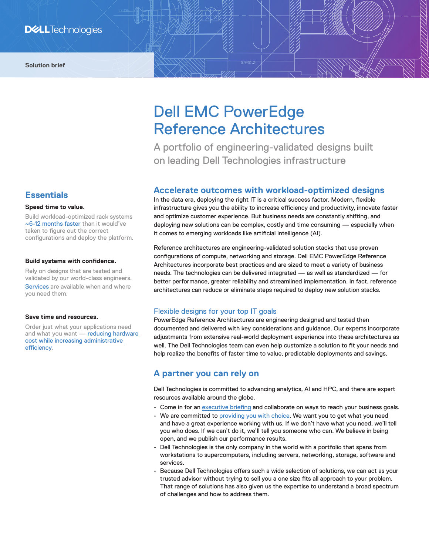# **Essentials**

#### **Speed time to value.**

Build workload-optimized rack systems [~6-12 months faster](https://infohub.delltechnologies.com/section-assets/the-total-economic-impact%E2%84%A2-of-the-dell-emc-ready-solutions-for-hadoop) than it would've taken to figure out the correct configurations and deploy the platform.

#### **Build systems with confidence.**

Rely on designs that are tested and validated by our world-class engineers. [Services](http://delltechnologies.com/services) are available when and where you need them.

#### **Save time and resources.**

Order just what your applications need and what you want - reducing hardware [cost while increasing administrative](https://infohub.delltechnologies.com/section-assets/the-total-economic-impact%E2%84%A2-of-the-dell-emc-ready-solutions-for-hadoop)  [efficiency](https://infohub.delltechnologies.com/section-assets/the-total-economic-impact%E2%84%A2-of-the-dell-emc-ready-solutions-for-hadoop).

# Dell EMC PowerEdge Reference Architectures

A portfolio of engineering-validated designs built on leading Dell Technologies infrastructure

## **Accelerate outcomes with workload‑optimized designs**

In the data era, deploying the right IT is a critical success factor. Modern, flexible infrastructure gives you the ability to increase efficiency and productivity, innovate faster and optimize customer experience. But business needs are constantly shifting, and deploying new solutions can be complex, costly and time consuming — especially when it comes to emerging workloads like artificial intelligence (AI).

Reference architectures are engineering-validated solution stacks that use proven configurations of compute, networking and storage. Dell EMC PowerEdge Reference Architectures incorporate best practices and are sized to meet a variety of business needs. The technologies can be delivered integrated — as well as standardized — for better performance, greater reliability and streamlined implementation. In fact, reference architectures can reduce or eliminate steps required to deploy new solution stacks.

#### Flexible designs for your top IT goals

PowerEdge Reference Architectures are engineering designed and tested then documented and delivered with key considerations and guidance. Our experts incorporate adjustments from extensive real-world deployment experience into these architectures as well. The Dell Technologies team can even help customize a solution to fit your needs and help realize the benefits of faster time to value, predictable deployments and savings.

## **A partner you can rely on**

Dell Technologies is committed to advancing analytics, AI and HPC, and there are expert resources available around the globe.

- Come in for an [executive briefing](https://www.delltechnologies.com/en-us/what-we-do/customer-engagement-programs/executive_briefing_program.htm) and collaborate on ways to reach your business goals.
- We are committed to [providing you with choice](https://www.delltechnologies.com/en-us/press/open-letter-to-customers-and-partners.htm). We want you to get what you need and have a great experience working with us. If we don't have what you need, we'll tell you who does. If we can't do it, we'll tell you someone who can. We believe in being open, and we publish our performance results.
- Dell Technologies is the only company in the world with a portfolio that spans from workstations to supercomputers, including servers, networking, storage, software and services.
- Because Dell Technologies offers such a wide selection of solutions, we can act as your trusted advisor without trying to sell you a one size fits all approach to your problem. That range of solutions has also given us the expertise to understand a broad spectrum of challenges and how to address them.